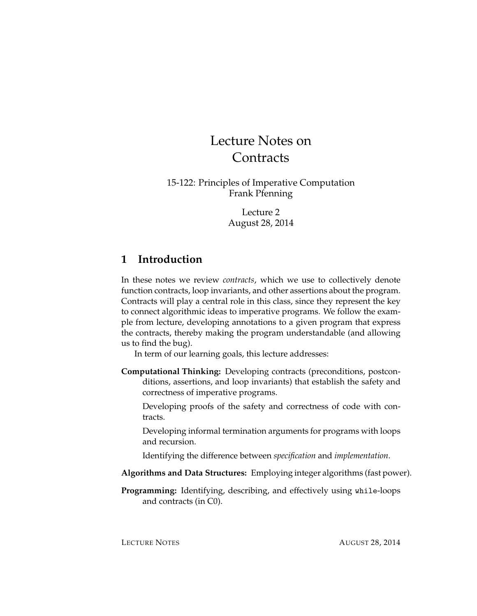# Lecture Notes on **Contracts**

15-122: Principles of Imperative Computation Frank Pfenning

> Lecture 2 August 28, 2014

# **1 Introduction**

In these notes we review *contracts*, which we use to collectively denote function contracts, loop invariants, and other assertions about the program. Contracts will play a central role in this class, since they represent the key to connect algorithmic ideas to imperative programs. We follow the example from lecture, developing annotations to a given program that express the contracts, thereby making the program understandable (and allowing us to find the bug).

In term of our learning goals, this lecture addresses:

**Computational Thinking:** Developing contracts (preconditions, postconditions, assertions, and loop invariants) that establish the safety and correctness of imperative programs.

Developing proofs of the safety and correctness of code with contracts.

Developing informal termination arguments for programs with loops and recursion.

Identifying the difference between *specification* and *implementation*.

- **Algorithms and Data Structures:** Employing integer algorithms (fast power).
- **Programming:** Identifying, describing, and effectively using while-loops and contracts (in C0).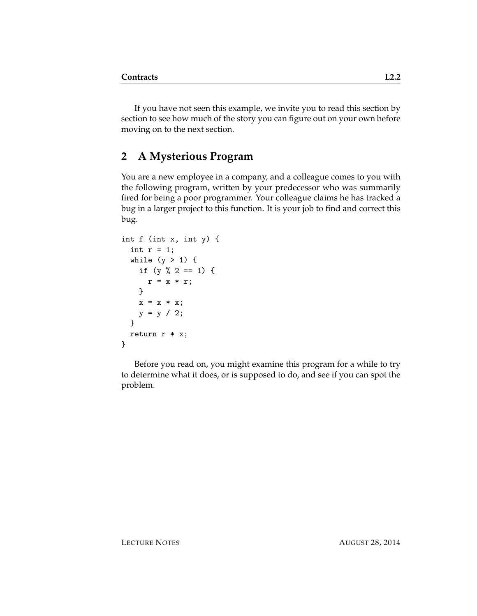If you have not seen this example, we invite you to read this section by section to see how much of the story you can figure out on your own before moving on to the next section.

# **2 A Mysterious Program**

You are a new employee in a company, and a colleague comes to you with the following program, written by your predecessor who was summarily fired for being a poor programmer. Your colleague claims he has tracked a bug in a larger project to this function. It is your job to find and correct this bug.

```
int f (int x, int y) {
 int r = 1;
 while (y > 1) {
   if (y \, % 2 == 1) {
      r = x * r;}
   x = x * x;y = y / 2;}
 return r * x;
}
```
Before you read on, you might examine this program for a while to try to determine what it does, or is supposed to do, and see if you can spot the problem.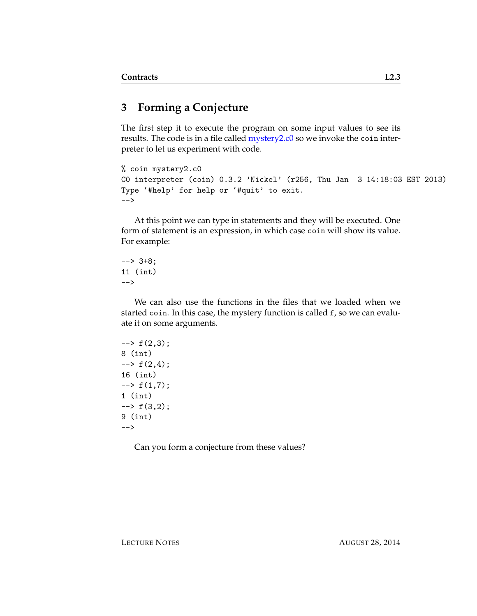# **3 Forming a Conjecture**

The first step it to execute the program on some input values to see its results. The code is in a file called [mystery2.c0](http://www.cs.cmu.edu/~fp/courses/15122-f14/lectures/01-overview/mystery2.c0) so we invoke the coin interpreter to let us experiment with code.

```
% coin mystery2.c0
C0 interpreter (coin) 0.3.2 'Nickel' (r256, Thu Jan 3 14:18:03 EST 2013)
Type '#help' for help or '#quit' to exit.
-->
```
At this point we can type in statements and they will be executed. One form of statement is an expression, in which case coin will show its value. For example:

--> 3+8; 11 (int) -->

We can also use the functions in the files that we loaded when we started coin. In this case, the mystery function is called f, so we can evaluate it on some arguments.

```
\leftarrow + f(2,3);
8 (int)
\leftarrow + f(2,4);16 (int)
\leftarrow + f(1,7);
1 (int)
\leftarrow + f(3,2);
9 (int)
-->
```
Can you form a conjecture from these values?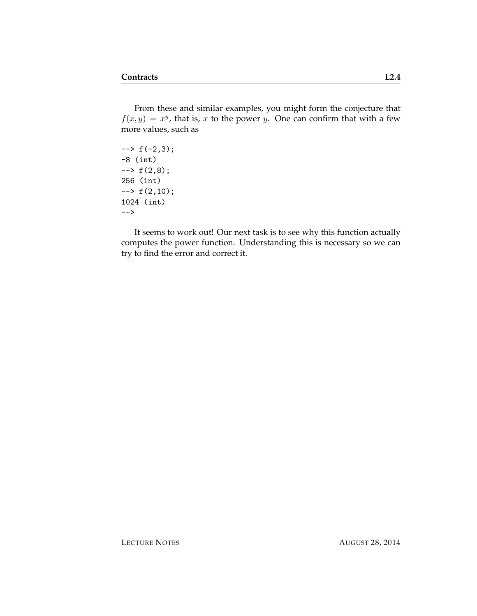From these and similar examples, you might form the conjecture that  $f(x, y) = x^y$ , that is, x to the power y. One can confirm that with a few more values, such as

 $\rightarrow$  f(-2,3); -8 (int)  $\rightarrow$  f(2,8); 256 (int)  $\leftarrow$  +  $f(2,10)$ ; 1024 (int) -->

It seems to work out! Our next task is to see why this function actually computes the power function. Understanding this is necessary so we can try to find the error and correct it.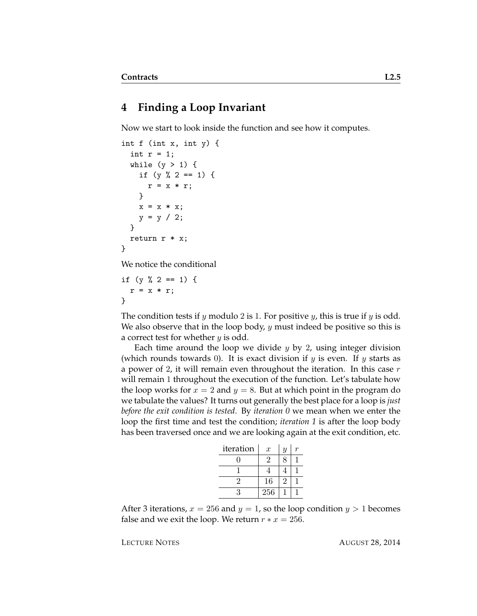#### **4 Finding a Loop Invariant**

Now we start to look inside the function and see how it computes.

```
int f (int x, int y) {
  int r = 1;
  while (y > 1) {
    if (y \, % \, 2 == 1) \, {\mathfrak{t}}r = x * r;}
    x = x * x;y = y / 2;}
  return r * x;
}
```
We notice the conditional

```
if (y \, % \, 2 == 1) \, {\mathfrak{t}}r = x * r;}
```
The condition tests if  $y$  modulo 2 is 1. For positive  $y$ , this is true if  $y$  is odd. We also observe that in the loop body,  $y$  must indeed be positive so this is a correct test for whether  $y$  is odd.

Each time around the loop we divide  $y$  by 2, using integer division (which rounds towards 0). It is exact division if  $y$  is even. If  $y$  starts as a power of 2, it will remain even throughout the iteration. In this case  $r$ will remain 1 throughout the execution of the function. Let's tabulate how the loop works for  $x = 2$  and  $y = 8$ . But at which point in the program do we tabulate the values? It turns out generally the best place for a loop is *just before the exit condition is tested*. By *iteration 0* we mean when we enter the loop the first time and test the condition; *iteration 1* is after the loop body has been traversed once and we are looking again at the exit condition, etc.

| iteration | $\boldsymbol{x}$ | $\boldsymbol{y}$ |  |
|-----------|------------------|------------------|--|
|           | $\overline{2}$   | 8                |  |
|           |                  | 4                |  |
| 2         | 16               | 2                |  |
| 3         | 256              |                  |  |

After 3 iterations,  $x = 256$  and  $y = 1$ , so the loop condition  $y > 1$  becomes false and we exit the loop. We return  $r * x = 256$ .

LECTURE NOTES AUGUST 28, 2014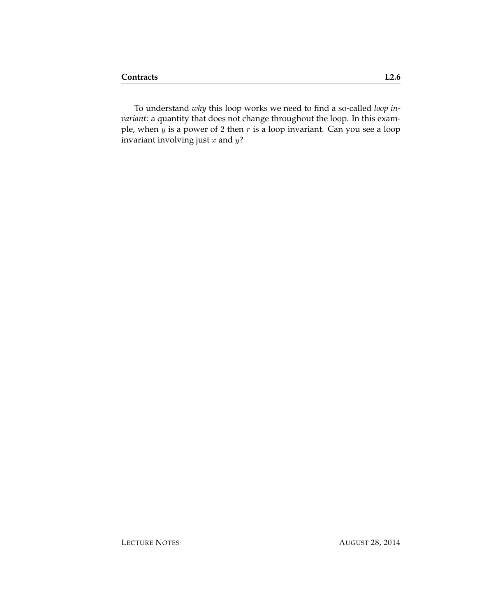To understand *why* this loop works we need to find a so-called *loop invariant*: a quantity that does not change throughout the loop. In this example, when y is a power of 2 then r is a loop invariant. Can you see a loop invariant involving just  $x$  and  $y$ ?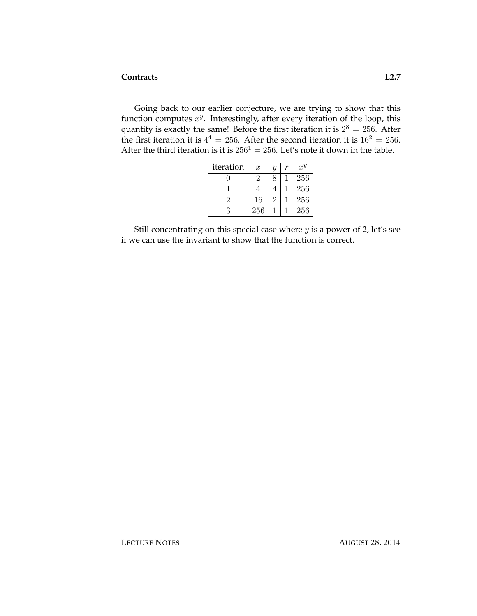Going back to our earlier conjecture, we are trying to show that this function computes  $x^y$ . Interestingly, after every iteration of the loop, this quantity is exactly the same! Before the first iteration it is  $2^8 = 256$ . After the first iteration it is  $4^4 = 256$ . After the second iteration it is  $16^2 = 256$ . After the third iteration is it is  $256<sup>1</sup> = 256$ . Let's note it down in the table.

| iteration | $\boldsymbol{x}$ | $\overline{y}$ | r | $x^y$ |
|-----------|------------------|----------------|---|-------|
|           | 2                | 8              |   | 256   |
|           |                  |                |   | 256   |
|           | 16               | 2              |   | 256   |
| 3         | 256              |                |   | 256   |

Still concentrating on this special case where  $y$  is a power of 2, let's see if we can use the invariant to show that the function is correct.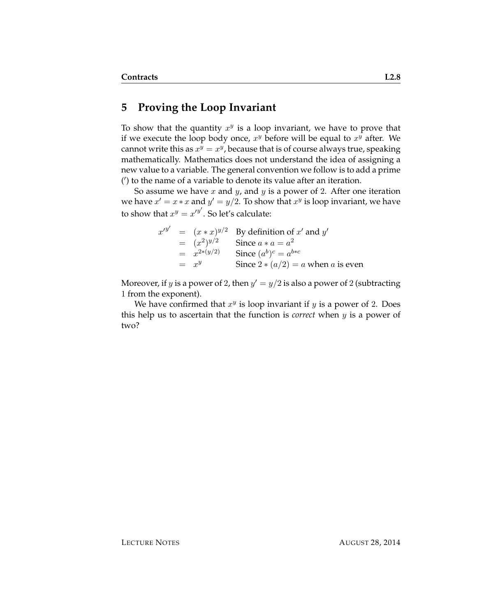#### **5 Proving the Loop Invariant**

To show that the quantity  $x^y$  is a loop invariant, we have to prove that if we execute the loop body once,  $x^y$  before will be equal to  $x^y$  after. We cannot write this as  $x^y = x^y$ , because that is of course always true, speaking mathematically. Mathematics does not understand the idea of assigning a new value to a variable. The general convention we follow is to add a prime (') to the name of a variable to denote its value after an iteration.

So assume we have  $x$  and  $y$ , and  $y$  is a power of 2. After one iteration we have  $x' = x * x$  and  $y' = y/2$ . To show that  $x^y$  is loop invariant, we have to show that  $x^y = x'^{y'}$ . So let's calculate:

|  |                   | $x'^{y'} = (x * x)^{y/2}$ By definition of x' and y' |
|--|-------------------|------------------------------------------------------|
|  | $=$ $(x^2)^{y/2}$ | Since $a * a = a^2$                                  |
|  | $= x^{2*(y/2)}$   | Since $(a^b)^c = a^{b*c}$                            |
|  | $=$ $x^y$         | Since $2 * (a/2) = a$ when a is even                 |

Moreover, if y is a power of 2, then  $y' = y/2$  is also a power of 2 (subtracting 1 from the exponent).

We have confirmed that  $x^y$  is loop invariant if  $y$  is a power of 2. Does this help us to ascertain that the function is *correct* when y is a power of two?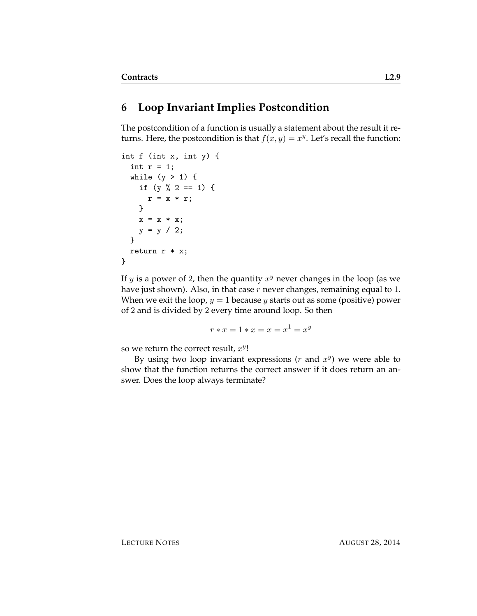### **6 Loop Invariant Implies Postcondition**

The postcondition of a function is usually a statement about the result it returns. Here, the postcondition is that  $f(x, y) = x^y$ . Let's recall the function:

```
int f (int x, int y) {
  int r = 1;
 while (y > 1) {
   if (y % 2 == 1) {
     r = x * r;}
   x = x * x;y = y / 2;}
 return r * x;
}
```
If y is a power of 2, then the quantity  $x^y$  never changes in the loop (as we have just shown). Also, in that case  $r$  never changes, remaining equal to 1. When we exit the loop,  $y = 1$  because y starts out as some (positive) power of 2 and is divided by 2 every time around loop. So then

 $r * x = 1 * x = x = x^1 = x^y$ 

so we return the correct result,  $x^y$ !

By using two loop invariant expressions  $(r$  and  $x<sup>y</sup>)$  we were able to show that the function returns the correct answer if it does return an answer. Does the loop always terminate?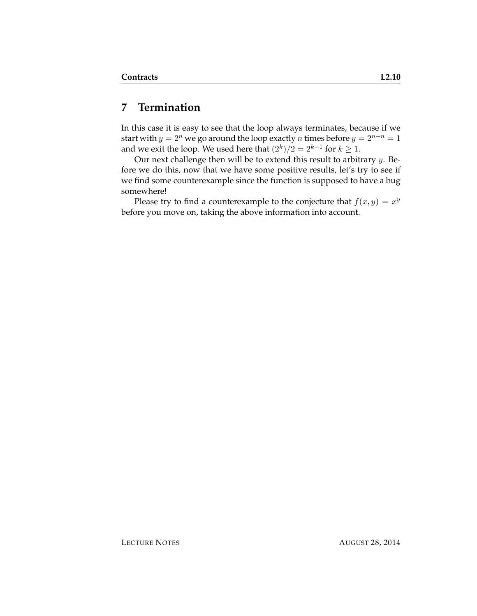### **7 Termination**

In this case it is easy to see that the loop always terminates, because if we start with  $y = 2^n$  we go around the loop exactly *n* times before  $y = 2^{n-n} = 1$ and we exit the loop. We used here that  $(2^k)/2 = 2^{k-1}$  for  $k \geq 1$ .

Our next challenge then will be to extend this result to arbitrary  $y$ . Before we do this, now that we have some positive results, let's try to see if we find some counterexample since the function is supposed to have a bug somewhere!

Please try to find a counterexample to the conjecture that  $f(x, y) = x^y$ before you move on, taking the above information into account.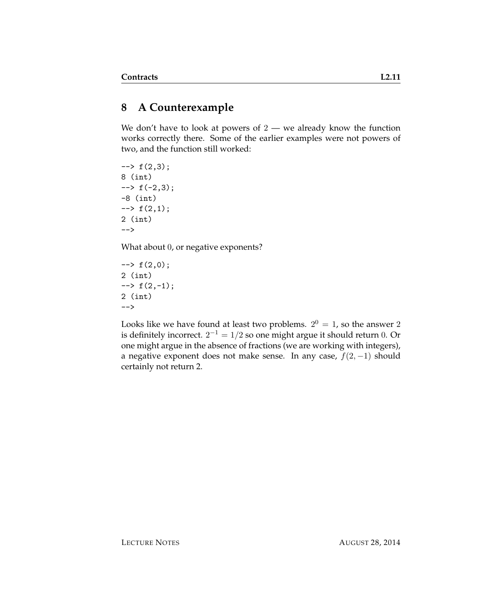# **8 A Counterexample**

We don't have to look at powers of  $2 -$  we already know the function works correctly there. Some of the earlier examples were not powers of two, and the function still worked:

 $\leftarrow$  +  $f(2,3);$ 8 (int)  $\leftarrow$  +  $\left( -2, 3 \right)$ ; -8 (int)  $\rightarrow$  f(2,1); 2 (int) -->

What about 0, or negative exponents?

 $\leftarrow$  +  $f(2,0);$ 2 (int)  $\leftarrow$   $\rightarrow$  f(2,-1); 2 (int) -->

Looks like we have found at least two problems.  $2^0 = 1$ , so the answer 2 is definitely incorrect.  $2^{-1} = 1/2$  so one might argue it should return  $0$ . Or one might argue in the absence of fractions (we are working with integers), a negative exponent does not make sense. In any case,  $f(2, -1)$  should certainly not return 2.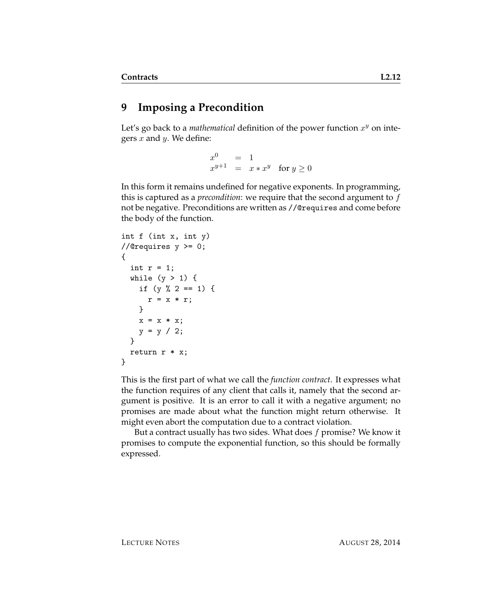# **9 Imposing a Precondition**

Let's go back to a *mathematical* definition of the power function  $x^y$  on integers  $x$  and  $y$ . We define:

> $x^0$  $=$  1  $x^{y+1} = x * x^y$  for  $y \ge 0$

In this form it remains undefined for negative exponents. In programming, this is captured as a *precondition*: we require that the second argument to f not be negative. Preconditions are written as //@requires and come before the body of the function.

```
int f (int x, int y)
//@requires y \ge 0;
{
  int r = 1;
  while (y > 1) {
    if (y \, % \, 2 == 1) \, {\mathfrak{t}}r = x * r;}
    x = x * x;y = y / 2;}
  return r * x;
}
```
This is the first part of what we call the *function contract*. It expresses what the function requires of any client that calls it, namely that the second argument is positive. It is an error to call it with a negative argument; no promises are made about what the function might return otherwise. It might even abort the computation due to a contract violation.

But a contract usually has two sides. What does  $f$  promise? We know it promises to compute the exponential function, so this should be formally expressed.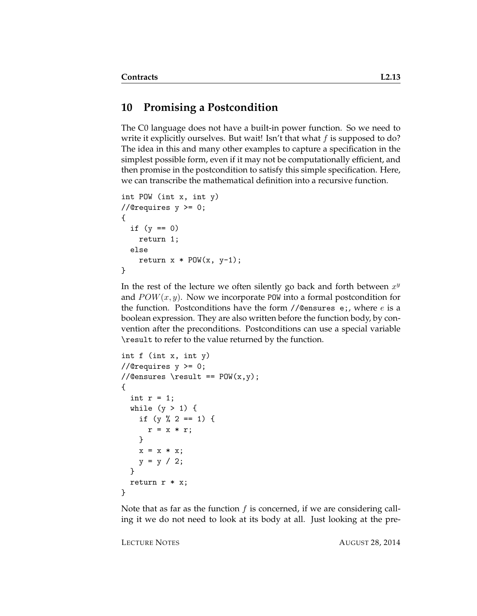#### **10 Promising a Postcondition**

The C0 language does not have a built-in power function. So we need to write it explicitly ourselves. But wait! Isn't that what  $f$  is supposed to do? The idea in this and many other examples to capture a specification in the simplest possible form, even if it may not be computationally efficient, and then promise in the postcondition to satisfy this simple specification. Here, we can transcribe the mathematical definition into a recursive function.

```
int POW (int x, int y)
//@requires y >= 0;
{
  if (y == 0)return 1;
  else
    return x * POW(x, y-1);}
```
In the rest of the lecture we often silently go back and forth between  $x^y$ and  $POW(x, y)$ . Now we incorporate POW into a formal postcondition for the function. Postconditions have the form  $//@$ ensures e;, where  $e$  is a boolean expression. They are also written before the function body, by convention after the preconditions. Postconditions can use a special variable \result to refer to the value returned by the function.

```
int f (int x, int y)
//@requires y \ge 0;
//@ensures \result == POW(x,y);
{
  int r = 1;
 while (y > 1) {
   if (y % 2 == 1) {
      r = x * r;}
   x = x * x;y = y / 2;}
 return r * x;
}
```
Note that as far as the function  $f$  is concerned, if we are considering calling it we do not need to look at its body at all. Just looking at the pre-

LECTURE NOTES AUGUST 28, 2014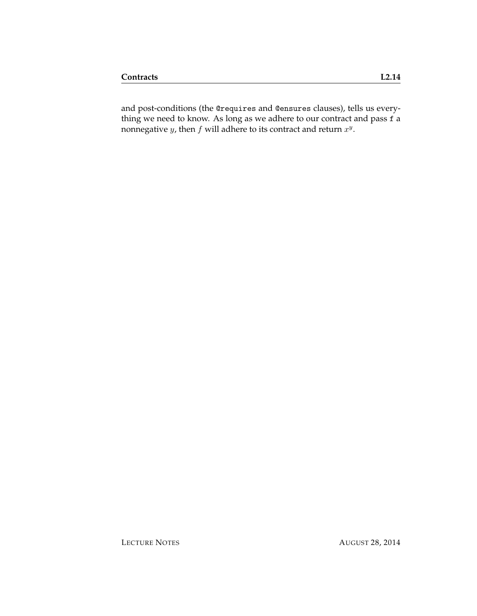and post-conditions (the @requires and @ensures clauses), tells us everything we need to know. As long as we adhere to our contract and pass f a nonnegative y, then  $f$  will adhere to its contract and return  $x^y$ .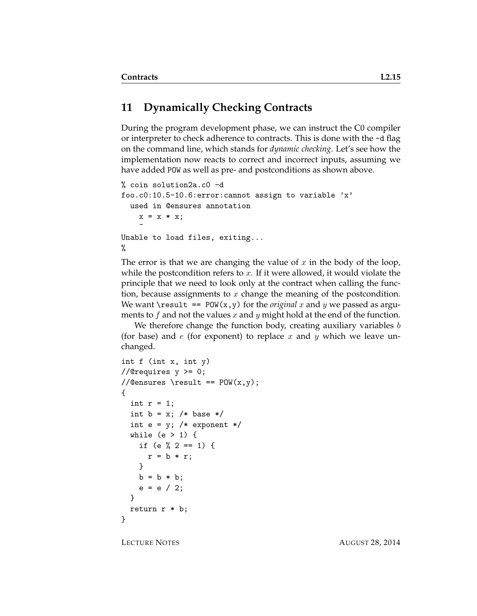# **11 Dynamically Checking Contracts**

During the program development phase, we can instruct the C0 compiler or interpreter to check adherence to contracts. This is done with the -d flag on the command line, which stands for *dynamic checking*. Let's see how the implementation now reacts to correct and incorrect inputs, assuming we have added POW as well as pre- and postconditions as shown above.

```
% coin solution2a.c0 -d
foo.c0:10.5-10.6:error:cannot assign to variable 'x'
 used in @ensures annotation
    x = x * x;\tilde{ }Unable to load files, exiting...
%
```
The error is that we are changing the value of x in the body of the loop, while the postcondition refers to  $x$ . If it were allowed, it would violate the principle that we need to look only at the contract when calling the function, because assignments to  $x$  change the meaning of the postcondition. We want  $\text{result}$  == POW(x,y) for the *original* x and y we passed as arguments to f and not the values x and y might hold at the end of the function.

We therefore change the function body, creating auxiliary variables  $b$ (for base) and  $e$  (for exponent) to replace  $x$  and  $y$  which we leave unchanged.

```
int f (int x, int y)
//@requires y \ge 0;
//@ensures \result == POW(x, y);
{
  int r = 1;
  int b = x; /* base */
  int e = y; /* exponent */
  while (e > 1) {
    if (e \frac{9}{2} 2 == 1) {
      r = b * r;
    }
    b = b * b;e = e / 2;}
  return r * b;
}
```
LECTURE NOTES AUGUST 28, 2014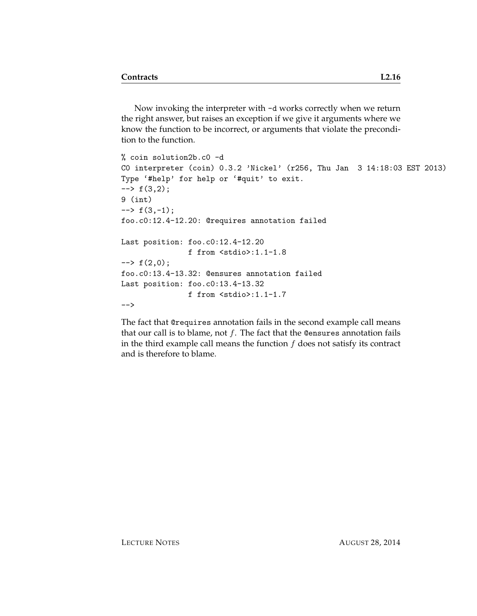Now invoking the interpreter with -d works correctly when we return the right answer, but raises an exception if we give it arguments where we know the function to be incorrect, or arguments that violate the precondition to the function.

```
% coin solution2b.c0 -d
C0 interpreter (coin) 0.3.2 'Nickel' (r256, Thu Jan 3 14:18:03 EST 2013)
Type '#help' for help or '#quit' to exit.
\leftarrow + f(3,2);
9 (int)
\leftarrow \rightarrow f(3,-1);
foo.c0:12.4-12.20: @requires annotation failed
Last position: foo.c0:12.4-12.20
                f from <stdio>:1.1-1.8
\leftarrow + f(2,0);
foo.c0:13.4-13.32: @ensures annotation failed
Last position: foo.c0:13.4-13.32
                f from <stdio>:1.1-1.7
-->
```
The fact that @requires annotation fails in the second example call means that our call is to blame, not  $f$ . The fact that the @ensures annotation fails in the third example call means the function  $f$  does not satisfy its contract and is therefore to blame.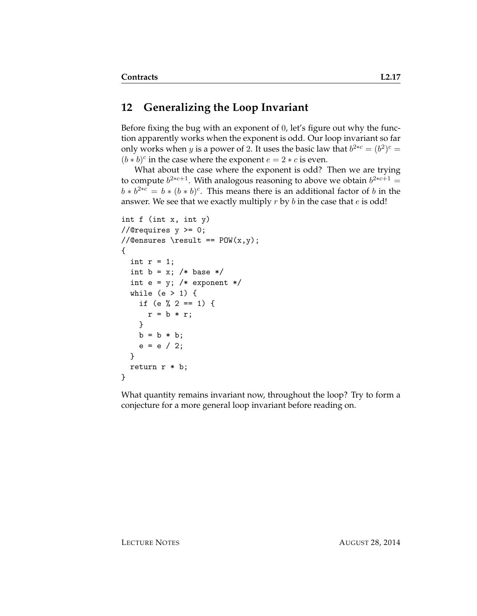### **12 Generalizing the Loop Invariant**

Before fixing the bug with an exponent of 0, let's figure out why the function apparently works when the exponent is odd. Our loop invariant so far only works when *y* is a power of 2. It uses the basic law that  $b^{2*c} = (b^2)^c =$  $(b * b)^c$  in the case where the exponent  $e = 2 * c$  is even.

What about the case where the exponent is odd? Then we are trying to compute  $b^{2*c+1}$ . With analogous reasoning to above we obtain  $b^{2*c+1} =$  $b * b^{2*c} = b * (b * b)^c$ . This means there is an additional factor of b in the answer. We see that we exactly multiply  $r$  by  $b$  in the case that  $e$  is odd!

```
int f (int x, int y)
//@requires y >= 0;
//Qensures \result == POW(x,y);{
  int r = 1;
  int b = x; /* base */
  int e = y; /* exponent */
 while (e > 1) {
    if (e % 2 == 1) {
     r = b * r;
   }
   b = b * b;e = e / 2;}
  return r * b;
}
```
What quantity remains invariant now, throughout the loop? Try to form a conjecture for a more general loop invariant before reading on.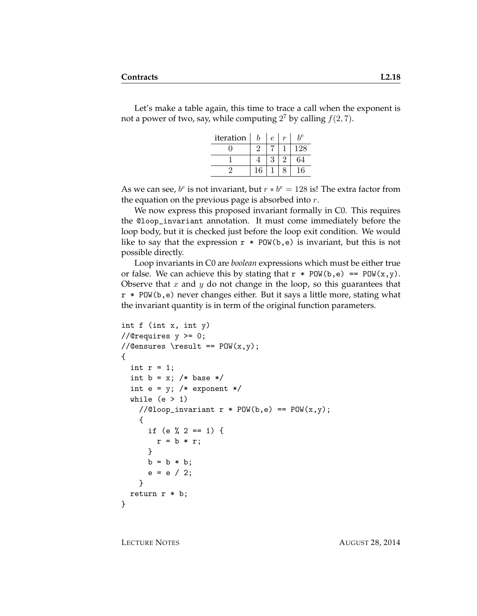Let's make a table again, this time to trace a call when the exponent is not a power of two, say, while computing  $2^7$  by calling  $f(2, 7)$ .

| iteration | b  | $\epsilon$ | hе  |
|-----------|----|------------|-----|
|           |    |            | 128 |
|           |    | 3          | 64  |
|           | 16 |            | 16  |

As we can see,  $b^e$  is not invariant, but  $r * b^e = 128$  is! The extra factor from the equation on the previous page is absorbed into  $r$ .

We now express this proposed invariant formally in C0. This requires the @loop\_invariant annotation. It must come immediately before the loop body, but it is checked just before the loop exit condition. We would like to say that the expression  $r * POW(b,e)$  is invariant, but this is not possible directly.

Loop invariants in C0 are *boolean* expressions which must be either true or false. We can achieve this by stating that  $r * POW(b, e) == POW(x, y)$ . Observe that x and y do not change in the loop, so this guarantees that r \* POW(b,e) never changes either. But it says a little more, stating what the invariant quantity is in term of the original function parameters.

```
int f (int x, int y)
//@requires y \ge 0;
//@ensures \result == POW(x, y);
{
  int r = 1;
  int b = x; /* base */
  int e = y; /* exponent */
  while (e > 1)//@loop_invariant r * POW(b, e) == POW(x, y);
    {
      if (e \frac{9}{2} == 1) {
        r = b * r;
      }
      b = b * b;e = e / 2;}
 return r * b;
}
```
LECTURE NOTES AUGUST 28, 2014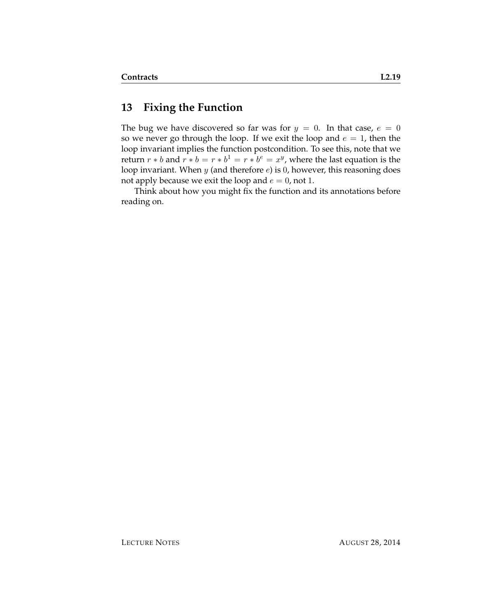### **13 Fixing the Function**

The bug we have discovered so far was for  $y = 0$ . In that case,  $e = 0$ so we never go through the loop. If we exit the loop and  $e = 1$ , then the loop invariant implies the function postcondition. To see this, note that we return  $r * b$  and  $r * b = r * b^1 = r * b^e = x^y$ , where the last equation is the loop invariant. When  $y$  (and therefore  $e$ ) is 0, however, this reasoning does not apply because we exit the loop and  $e = 0$ , not 1.

Think about how you might fix the function and its annotations before reading on.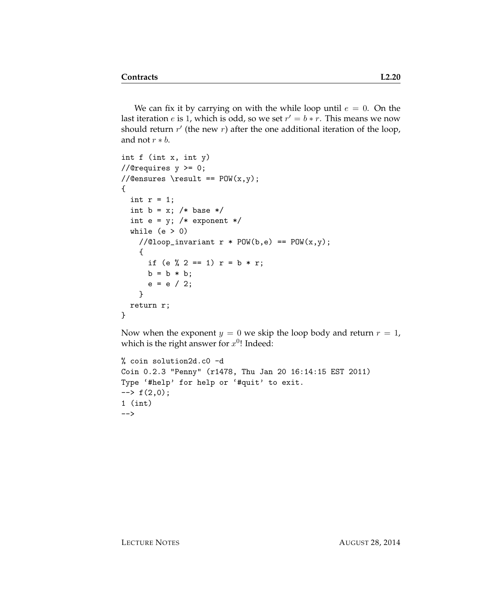We can fix it by carrying on with the while loop until  $e = 0$ . On the last iteration  $e$  is 1, which is odd, so we set  $r' = b * r$ . This means we now should return  $r'$  (the new  $r$ ) after the one additional iteration of the loop, and not  $r * b$ .

```
int f (int x, int y)
//@requires y >= 0;
//@ensures \result == POW(x,y);
{
  int r = 1;
  int b = x; /* base */
  int e = y; /* exponent */
  while (e > 0)//@loop_invariant r * POW(b, e) == POW(x, y);
    {
      if (e % 2 == 1) r = b * r;
     b = b * b;e = e / 2;}
  return r;
}
```
Now when the exponent  $y = 0$  we skip the loop body and return  $r = 1$ , which is the right answer for  $x^{0}$ ! Indeed:

```
% coin solution2d.c0 -d
Coin 0.2.3 "Penny" (r1478, Thu Jan 20 16:14:15 EST 2011)
Type '#help' for help or '#quit' to exit.
\leftarrow + f(2,0);1 (int)
-->
```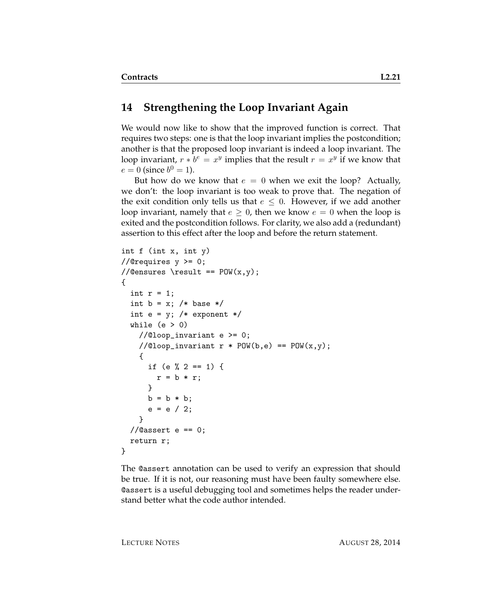#### **14 Strengthening the Loop Invariant Again**

We would now like to show that the improved function is correct. That requires two steps: one is that the loop invariant implies the postcondition; another is that the proposed loop invariant is indeed a loop invariant. The loop invariant,  $r * b^e = x^y$  implies that the result  $r = x^y$  if we know that  $e = 0$  (since  $b^0 = 1$ ).

But how do we know that  $e = 0$  when we exit the loop? Actually, we don't: the loop invariant is too weak to prove that. The negation of the exit condition only tells us that  $e \leq 0$ . However, if we add another loop invariant, namely that  $e \geq 0$ , then we know  $e = 0$  when the loop is exited and the postcondition follows. For clarity, we also add a (redundant) assertion to this effect after the loop and before the return statement.

```
int f (int x, int y)
//@requires y \ge 0;
//@ensures \result == POW(x, y);
{
  int r = 1;
  int b = x; /* base */
  int e = y; /* exponent */
  while (e > 0)//@loop_invariant e >= 0;//@loop_invariant r * POW(b, e) == POW(x, y);{
      if (e \frac{9}{2} 2 == 1) {
        r = b * r;}
      b = b * b;e = e / 2;}
  //Qasser e == 0;
  return r;
}
```
The @assert annotation can be used to verify an expression that should be true. If it is not, our reasoning must have been faulty somewhere else. @assert is a useful debugging tool and sometimes helps the reader understand better what the code author intended.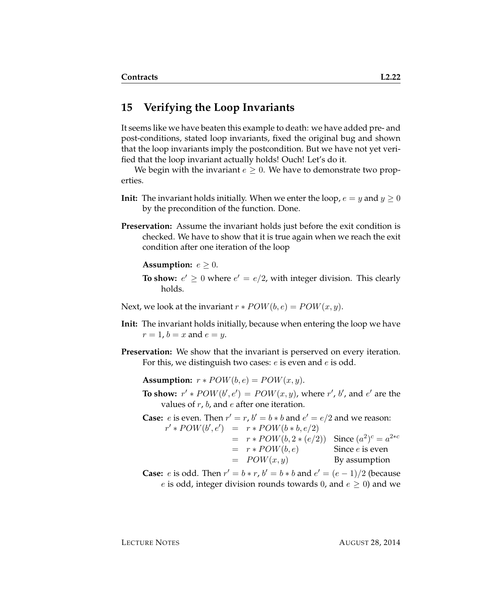#### **15 Verifying the Loop Invariants**

It seems like we have beaten this example to death: we have added pre- and post-conditions, stated loop invariants, fixed the original bug and shown that the loop invariants imply the postcondition. But we have not yet verified that the loop invariant actually holds! Ouch! Let's do it.

We begin with the invariant  $e \geq 0$ . We have to demonstrate two properties.

- **Init:** The invariant holds initially. When we enter the loop,  $e = y$  and  $y \ge 0$ by the precondition of the function. Done.
- **Preservation:** Assume the invariant holds just before the exit condition is checked. We have to show that it is true again when we reach the exit condition after one iteration of the loop

**Assumption:**  $e \geq 0$ .

**To show:**  $e' \geq 0$  where  $e' = e/2$ , with integer division. This clearly holds.

Next, we look at the invariant  $r * POW(b, e) = POW(x, y)$ .

- **Init:** The invariant holds initially, because when entering the loop we have  $r = 1$ ,  $b = x$  and  $e = y$ .
- **Preservation:** We show that the invariant is perserved on every iteration. For this, we distinguish two cases: e is even and e is odd.

**Assumption:**  $r * POW(b, e) = POW(x, y)$ .

**To show:**  $r' * POW(b', e') = POW(x, y)$ , where  $r'$ , b', and  $e'$  are the values of  $r$ ,  $b$ , and  $e$  after one iteration.

**Case:** *e* is even. Then  $r' = r$ ,  $b' = b * b$  and  $e' = e/2$  and we reason:  $r' * POW(b', e') = r * POW(b * b, e/2)$  $= r * POW(b, 2 * (e/2))$  Since  $(a^2)^c = a^{2 * c}$  $= r * POW(b, e)$  Since *e* is even  $= POW(x, y)$  By assumption

**Case:** *e* is odd. Then  $r' = b * r$ ,  $b' = b * b$  and  $e' = (e - 1)/2$  (because e is odd, integer division rounds towards 0, and  $e \ge 0$ ) and we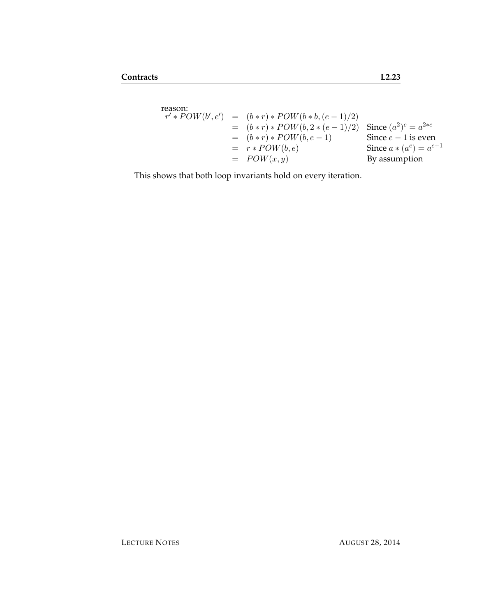$$
r' * POW(b', e') = (b * r) * POW(b * b, (e - 1)/2)
$$
  
= (b \* r) \* POW(b, 2 \* (e - 1)/2) Since (a<sup>2</sup>)<sup>c</sup> = a<sup>2</sup>\*c  
= (b \* r) \* POW(b, e - 1)  
= r \* POW(b, e)  
= POW(x, y) By assumption

This shows that both loop invariants hold on every iteration.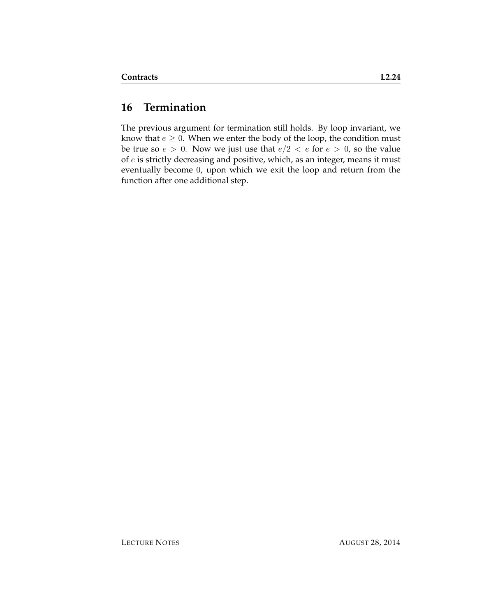# **16 Termination**

The previous argument for termination still holds. By loop invariant, we know that  $e \geq 0$ . When we enter the body of the loop, the condition must be true so  $e > 0$ . Now we just use that  $e/2 < e$  for  $e > 0$ , so the value of e is strictly decreasing and positive, which, as an integer, means it must eventually become 0, upon which we exit the loop and return from the function after one additional step.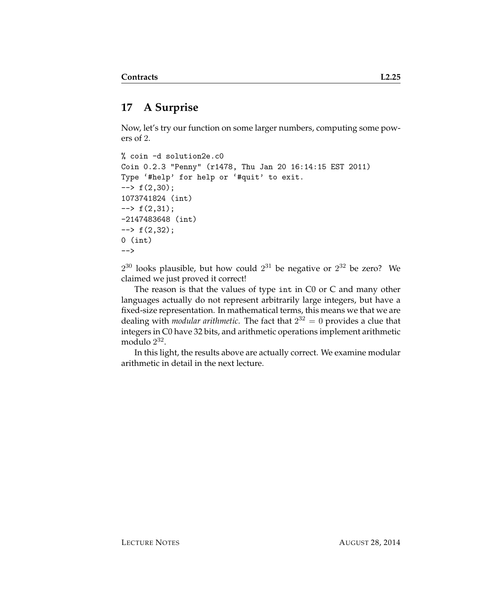# **17 A Surprise**

Now, let's try our function on some larger numbers, computing some powers of 2.

```
% coin -d solution2e.c0
Coin 0.2.3 "Penny" (r1478, Thu Jan 20 16:14:15 EST 2011)
Type '#help' for help or '#quit' to exit.
\leftarrow + f(2,30);
1073741824 (int)
\leftarrow \leftarrow f(2,31);
-2147483648 (int)
\leftarrow + f(2,32);
0 (int)
-->
```
 $2^{30}$  looks plausible, but how could  $2^{31}$  be negative or  $2^{32}$  be zero? We claimed we just proved it correct!

The reason is that the values of type int in C0 or C and many other languages actually do not represent arbitrarily large integers, but have a fixed-size representation. In mathematical terms, this means we that we are dealing with *modular arithmetic*. The fact that 2 <sup>32</sup> = 0 provides a clue that integers in C0 have 32 bits, and arithmetic operations implement arithmetic modulo 2 32 .

In this light, the results above are actually correct. We examine modular arithmetic in detail in the next lecture.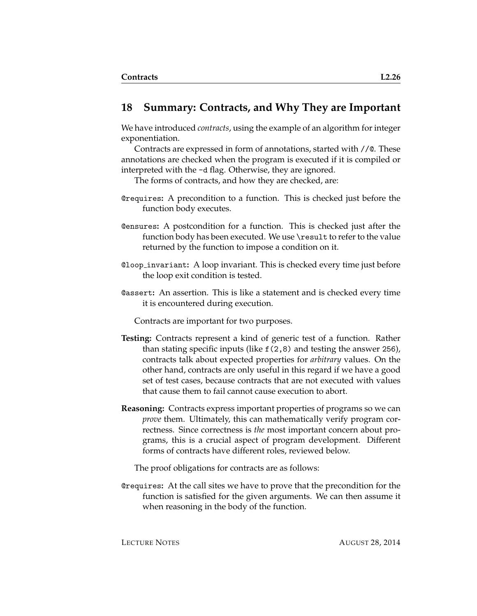#### **18 Summary: Contracts, and Why They are Important**

We have introduced *contracts*, using the example of an algorithm for integer exponentiation.

Contracts are expressed in form of annotations, started with //@. These annotations are checked when the program is executed if it is compiled or interpreted with the -d flag. Otherwise, they are ignored.

The forms of contracts, and how they are checked, are:

- @requires**:** A precondition to a function. This is checked just before the function body executes.
- @ensures**:** A postcondition for a function. This is checked just after the function body has been executed. We use \result to refer to the value returned by the function to impose a condition on it.
- @loop invariant**:** A loop invariant. This is checked every time just before the loop exit condition is tested.
- @assert**:** An assertion. This is like a statement and is checked every time it is encountered during execution.

Contracts are important for two purposes.

- **Testing:** Contracts represent a kind of generic test of a function. Rather than stating specific inputs (like f(2,8) and testing the answer 256), contracts talk about expected properties for *arbitrary* values. On the other hand, contracts are only useful in this regard if we have a good set of test cases, because contracts that are not executed with values that cause them to fail cannot cause execution to abort.
- **Reasoning:** Contracts express important properties of programs so we can *prove* them. Ultimately, this can mathematically verify program correctness. Since correctness is *the* most important concern about programs, this is a crucial aspect of program development. Different forms of contracts have different roles, reviewed below.

The proof obligations for contracts are as follows:

@requires**:** At the call sites we have to prove that the precondition for the function is satisfied for the given arguments. We can then assume it when reasoning in the body of the function.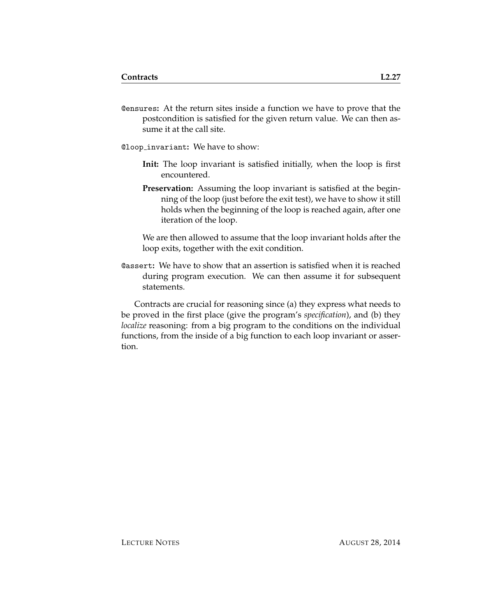@ensures**:** At the return sites inside a function we have to prove that the postcondition is satisfied for the given return value. We can then assume it at the call site.

@loop invariant**:** We have to show:

- **Init:** The loop invariant is satisfied initially, when the loop is first encountered.
- **Preservation:** Assuming the loop invariant is satisfied at the beginning of the loop (just before the exit test), we have to show it still holds when the beginning of the loop is reached again, after one iteration of the loop.

We are then allowed to assume that the loop invariant holds after the loop exits, together with the exit condition.

@assert**:** We have to show that an assertion is satisfied when it is reached during program execution. We can then assume it for subsequent statements.

Contracts are crucial for reasoning since (a) they express what needs to be proved in the first place (give the program's *specification*), and (b) they *localize* reasoning: from a big program to the conditions on the individual functions, from the inside of a big function to each loop invariant or assertion.